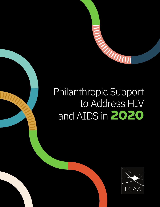

# Philanthropic Support to Address HIV and AIDS in **2020**

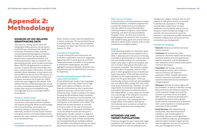### **SOURCES OF HIV-RELATED GRANTMAKING DATA**

This resource tracking report covers HIVrelated grant disbursements from all sectors of philanthropy, including private, family and community foundations; public charities; corporate grantmaking programs (corporate foundations and direct-giving programs); philanthropies supported by lotteries; and fundraising charities. Data is included for 323 grantmaking entities, which Funders Concerned About AIDS (FCAA) gathered from a variety of sources: (1) grants lists sent from funders and direct communications with funders; (2) funder websites, grants databases, annual reports and Internal Revenue Service Form 990 returns; (3) the grant database maintained by Candid; and (4) grants received by the Funders for LGBTQ Issues that were flagged as HIV-related. FCAA believes that this multifaceted approach arrives at a more comprehensive dataset of HIV-related funders than could be accomplished using any single data source or any single method of calculation.

#### **Private vs. Public Income**

Some of the funders in this report receive income from various governments to address HIV projects and grants. While we acknowledge that such partnerships and projects are extremely valuable in allocating resources effectively, we did not include income received from governments in the total funding amounts because this report attempts to focus exclusively on private philanthropy.

#### **Currencies**

The baseline currency for this report is the U.S.

dollar. However, funders reported expenditures in various currencies. This necessitated the use of exchange rates; the rates used consistently throughout this report were from XE.com as of January 31, 2022.

#### **Calculations of Regranting**

To avoid counting the same funds twice, the FCAA data is adjusted to account for regranting. Regranting refers to funds given by one FCAAtracked grantmaker to another for the purposes of making HIV-related grants. The 2020 aggregate total grantmaking for all funders was adjusted downward by \$30,518,323 to account for regranting.

#### **Funding to the Global Fund to Fight AIDS, Tuberculosis and Malaria**

Private philanthropic funders have long played an important role for the Global Fund to Fight AIDS, Tuberculosis and Malaria, not only in financial contributions but also in governance, support for advocacy, and pro bono services and partnerships. Funders tracked in this report, including the Bill & Melinda Gates Foundation, the Children's Investment Fund Foundation, and Comic Relief are some foundations that made contributions to the Global Fund in 2020.**24** The Global Fund accepts donations as cash and promissory notes. In the case of promissory notes, funding is not necessarily withdrawn for use by the Global Fund the year the grant is disbursed by a funder; instead, it is subject to the Global Fund's decision-making on timing of usage. Despite the value of these contributions, we removed philanthropic funding to address HIV and AIDS to the Global Fund from this report and previous reports due to these difficulties.

#### **Other Sources of Support**

- **Research:** Medical, prevention and social science research.
- **Treatment:** All medical care (clinic-, community- and home-based care) and drug treatment (antiretroviral and opportunistic infection treatment), end-of-life/palliative care, laboratory services and provider/patient treatment information.
- **Prevention:** HIV testing, voluntary counseling and testing, harm reduction, male circumcision, pre-exposure prophylaxis (PrEP), sexually transmitted infection prevention and health-related awareness/education/social and behavior change programs.
- **Advocacy:** Activities to reduce stigma and discrimination, as well as to develop a strong HIV constituency and enhance responses to HIV; provision of legal services/other activities to promote access and rights; AIDS-specific institutional development/ strengthening; work to reduce genderbased violence; and production of films and other communications to increase general awareness of HIV and AIDS.
- § **Social Services:** HIV-related housing, employment, food and transportation assistance; cash transfers/grants to individuals; daycare; income-generation and microfinance programs; psychological/ spiritual support and peer support groups; case management services; and access-tocare case management services.

In-kind donations, technical assistance, private individual donations, workplace programs that provide HIV-related services to employees, volunteer efforts by corporate employees, matching donations programs, cause-related marketing, and direct services provided by hospitals, clinics, churches and community health programs all represent other sources of HIV-related funding, goods and services that are difficult to identify and/or quantify. Even so, their contributions are highly valuable.

#### **Analysis**

FCAA asked grantmakers for information about calendar-year disbursements related to HIV in 2020. A disbursement is the amount of funding expended on grants/projects in a given year and may also include funding from commitments made in prior years. A grants list template was sent to funders when grants information was not publicly accessible. The template included questions about the grantee, amount of their grant in 2020, geographical area of benefit and a grant description. FCAA staff determined the intended use and target populations of each grant from the grant description. FCAA was intentionally inclusive and broad, acknowledging that such efforts often overlap with many other issue areas of philanthropy. Therefore, for some respondents, we included or excluded grants and projects that were not wholly focused on HIV-related efforts. In some cases, we included only a percentage of the total grant to account for programs that had a partial impact on the HIV community. HIV-related grants from foreign offices of foundations that operate internationally were counted as coming from the country where their main headquarters are located.

# **INTENDED USE AND TARGET POPULATIONS**

FCAA has changed the way it tracks both target populations and intended use. In the past, we attributed grants to only one population and

intended use category. However, with our new capacity to code grants directly, we are able to identify every population or strategy included within a grant focus. In those incidences, we counted the total amount of the grant in each intended use category. For example, the entire amount of a grant for retention in care would be counted toward both treatment (medical care) and social services (nonmedical case management).

#### **Intended Use Categories**

# Appendix 2: Methodology